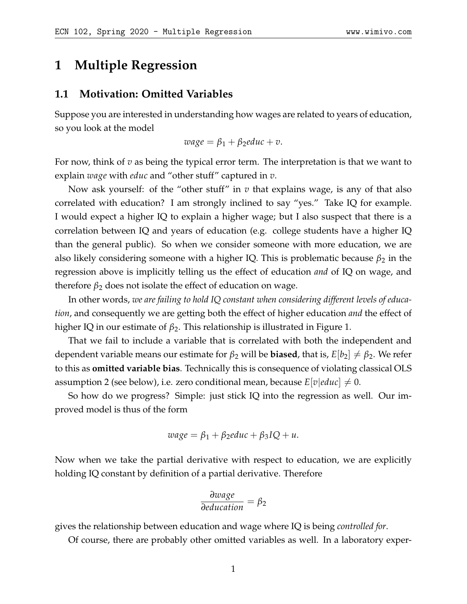## **1 Multiple Regression**

#### **1.1 Motivation: Omitted Variables**

Suppose you are interested in understanding how wages are related to years of education, so you look at the model

 $wage = \beta_1 + \beta_2$ *educ* + *v*.

For now, think of *v* as being the typical error term. The interpretation is that we want to explain *wage* with *educ* and "other stuff" captured in *v*.

Now ask yourself: of the "other stuff" in *v* that explains wage, is any of that also correlated with education? I am strongly inclined to say "yes." Take IQ for example. I would expect a higher IQ to explain a higher wage; but I also suspect that there is a correlation between IQ and years of education (e.g. college students have a higher IQ than the general public). So when we consider someone with more education, we are also likely considering someone with a higher IQ. This is problematic because  $\beta_2$  in the regression above is implicitly telling us the effect of education *and* of IQ on wage, and therefore  $\beta_2$  does not isolate the effect of education on wage.

In other words, *we are failing to hold IQ constant when considering different levels of education*, and consequently we are getting both the effect of higher education *and* the effect of higher IQ in our estimate of *β*2. This relationship is illustrated in Figure [1.](#page-1-0)

That we fail to include a variable that is correlated with both the independent and dependent variable means our estimate for  $\beta_2$  will be **biased**, that is,  $E[b_2] \neq \beta_2$ . We refer to this as **omitted variable bias**. Technically this is consequence of violating classical OLS assumption 2 (see below), i.e. zero conditional mean, because  $E[v|educ] \neq 0$ .

So how do we progress? Simple: just stick IQ into the regression as well. Our improved model is thus of the form

$$
wage = \beta_1 + \beta_2 educ + \beta_3 IQ + u.
$$

Now when we take the partial derivative with respect to education, we are explicitly holding IQ constant by definition of a partial derivative. Therefore

$$
\frac{\partial wage}{\partial education} = \beta_2
$$

gives the relationship between education and wage where IQ is being *controlled for*.

Of course, there are probably other omitted variables as well. In a laboratory exper-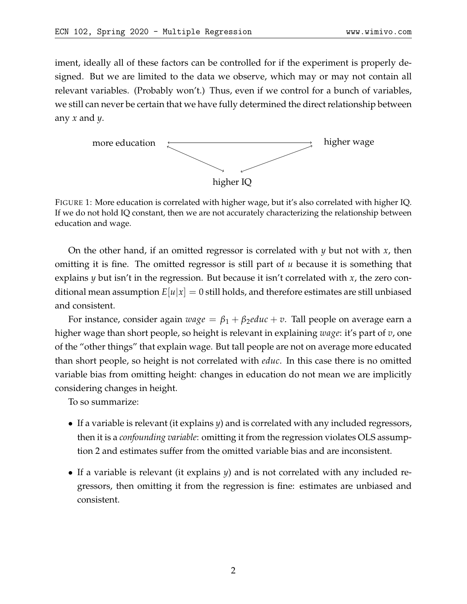iment, ideally all of these factors can be controlled for if the experiment is properly designed. But we are limited to the data we observe, which may or may not contain all relevant variables. (Probably won't.) Thus, even if we control for a bunch of variables, we still can never be certain that we have fully determined the direct relationship between any *x* and *y*.

<span id="page-1-0"></span>

FIGURE 1: More education is correlated with higher wage, but it's also correlated with higher IQ. If we do not hold IQ constant, then we are not accurately characterizing the relationship between education and wage.

On the other hand, if an omitted regressor is correlated with *y* but not with *x*, then omitting it is fine. The omitted regressor is still part of *u* because it is something that explains *y* but isn't in the regression. But because it isn't correlated with *x*, the zero conditional mean assumption  $E|u|x| = 0$  still holds, and therefore estimates are still unbiased and consistent.

For instance, consider again  $wage = \beta_1 + \beta_2$ *educ* + *v*. Tall people on average earn a higher wage than short people, so height is relevant in explaining *wage*: it's part of *v*, one of the "other things" that explain wage. But tall people are not on average more educated than short people, so height is not correlated with *educ*. In this case there is no omitted variable bias from omitting height: changes in education do not mean we are implicitly considering changes in height.

To so summarize:

- If a variable is relevant (it explains *y*) and is correlated with any included regressors, then it is a *confounding variable*: omitting it from the regression violates OLS assumption 2 and estimates suffer from the omitted variable bias and are inconsistent.
- If a variable is relevant (it explains *y*) and is not correlated with any included regressors, then omitting it from the regression is fine: estimates are unbiased and consistent.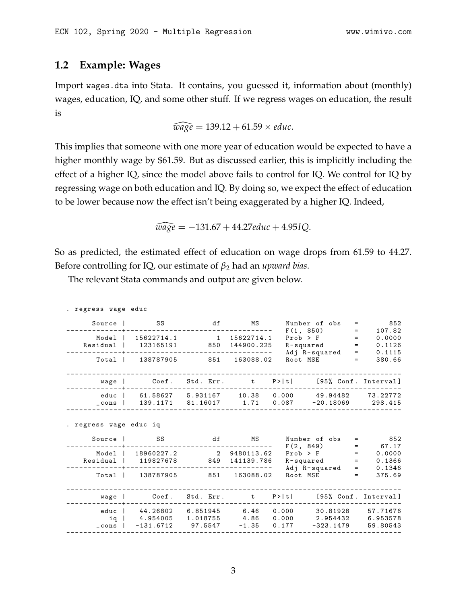### **1.2 Example: Wages**

. regress wage educ

Import wages.dta into Stata. It contains, you guessed it, information about (monthly) wages, education, IQ, and some other stuff. If we regress wages on education, the result is

$$
\widehat{wage} = 139.12 + 61.59 \times educ.
$$

This implies that someone with one more year of education would be expected to have a higher monthly wage by \$61.59. But as discussed earlier, this is implicitly including the effect of a higher IQ, since the model above fails to control for IQ. We control for IQ by regressing wage on both education and IQ. By doing so, we expect the effect of education to be lower because now the effect isn't being exaggerated by a higher IQ. Indeed,

 $\widehat{wage} = -131.67 + 44.27$ *educ* + 4.95*IQ*.

So as predicted, the estimated effect of education on wage drops from 61.59 to 44.27. Before controlling for IQ, our estimate of *β*<sup>2</sup> had an *upward bias*.

The relevant Stata commands and output are given below.

| Source 1               | SS                           | df      | MS                                       |          | Number of obs<br>F(1, 850)                                                                                                                                    | $\equiv$<br>$=$ | 852<br>107.82         |
|------------------------|------------------------------|---------|------------------------------------------|----------|---------------------------------------------------------------------------------------------------------------------------------------------------------------|-----------------|-----------------------|
| Model                  | 15622714.1 1                 |         | 15622714.1                               |          | $Proof \begin{minipage}{.4\linewidth} \hspace*{1.0pt} \texttt{Prob} > \hspace*{1.0pt} \texttt{F} > \hspace*{1.0pt} \texttt{=} \hspace*{1.0pt} \end{minipage}$ |                 | 0.0000                |
| Residual               |                              |         | 123165191 850 144900.225                 |          | $R$ -squared =                                                                                                                                                |                 | 0.1126                |
|                        |                              |         |                                          |          | Adj R-squared                                                                                                                                                 |                 | 0.1115<br>$=$ 100 $-$ |
| Total                  | 138787905                    | 851     | 163088.02                                | Root MSE |                                                                                                                                                               | $=$             | 380.66                |
| wage                   | Coef.                        |         | Std. Err. t P> t                         |          |                                                                                                                                                               |                 | [95% Conf. Interval]  |
|                        |                              |         |                                          |          |                                                                                                                                                               |                 |                       |
| educ                   |                              |         | $61.58627$ 5.931167 10.38 0.000 49.94482 |          |                                                                                                                                                               |                 | 73.22772              |
| $\_cons$               | 139.1171 81.16017            |         |                                          |          |                                                                                                                                                               |                 | 298.415               |
| . regress wage educ iq |                              |         |                                          |          |                                                                                                                                                               |                 |                       |
| Source                 | <b>SS</b>                    | df      | ΜS                                       |          | Number of obs<br>F(2, 849)                                                                                                                                    | $=$<br>$=$      | 852<br>67.17          |
| Model                  | 18960227.2                   |         | 2 9480113.62                             |          | $Prob > F$ =                                                                                                                                                  |                 | 0.0000                |
| Residual               | 119827678                    |         | 849 141139.786                           |          | R-squared                                                                                                                                                     |                 | 0.1366<br>$=$ 100 $-$ |
|                        |                              |         |                                          |          | Adj R-squared                                                                                                                                                 | $=$             | 0.1346                |
| Total                  | 138787905                    |         | 851 163088.02                            | Root MSE |                                                                                                                                                               | $=$             | 375.69                |
|                        |                              |         |                                          |          |                                                                                                                                                               |                 |                       |
| wage                   | Coef.                        |         | Std. Err. t                              | P >  t   |                                                                                                                                                               |                 | [95% Conf. Interval]  |
| educ                   | 44.26802 6.851945 6.46       |         |                                          | 0.000    | 30.81928                                                                                                                                                      |                 | 57.71676              |
| ig                     | 4.954005 1.018755 4.86 0.000 |         |                                          |          | 2.954432                                                                                                                                                      |                 | 6.953578              |
| $\_cons$               | $-131.6712$                  | 97.5547 | $-1.35$                                  | 0.177    | -323.1479                                                                                                                                                     |                 | 59.80543              |
|                        |                              |         |                                          |          |                                                                                                                                                               |                 |                       |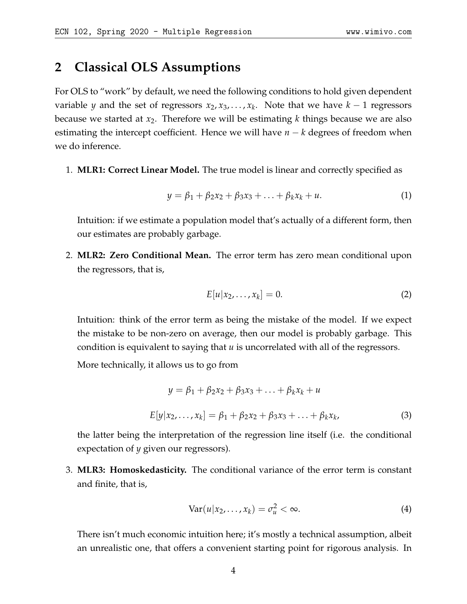### **2 Classical OLS Assumptions**

For OLS to "work" by default, we need the following conditions to hold given dependent variable *y* and the set of regressors *x*2, *x*3, . . . , *x<sup>k</sup>* . Note that we have *k* − 1 regressors because we started at *x*2. Therefore we will be estimating *k* things because we are also estimating the intercept coefficient. Hence we will have *n* − *k* degrees of freedom when we do inference.

1. **MLR1: Correct Linear Model.** The true model is linear and correctly specified as

$$
y = \beta_1 + \beta_2 x_2 + \beta_3 x_3 + \ldots + \beta_k x_k + u. \tag{1}
$$

Intuition: if we estimate a population model that's actually of a different form, then our estimates are probably garbage.

2. **MLR2: Zero Conditional Mean.** The error term has zero mean conditional upon the regressors, that is,

$$
E[u|x_2,\ldots,x_k]=0.\t\t(2)
$$

Intuition: think of the error term as being the mistake of the model. If we expect the mistake to be non-zero on average, then our model is probably garbage. This condition is equivalent to saying that *u* is uncorrelated with all of the regressors.

More technically, it allows us to go from

$$
y = \beta_1 + \beta_2 x_2 + \beta_3 x_3 + \dots + \beta_k x_k + u
$$
  

$$
E[y|x_2, \dots, x_k] = \beta_1 + \beta_2 x_2 + \beta_3 x_3 + \dots + \beta_k x_k,
$$
 (3)

the latter being the interpretation of the regression line itself (i.e. the conditional expectation of *y* given our regressors).

3. **MLR3: Homoskedasticity.** The conditional variance of the error term is constant and finite, that is,

$$
Var(u|x_2,\ldots,x_k)=\sigma_u^2<\infty.
$$
 (4)

There isn't much economic intuition here; it's mostly a technical assumption, albeit an unrealistic one, that offers a convenient starting point for rigorous analysis. In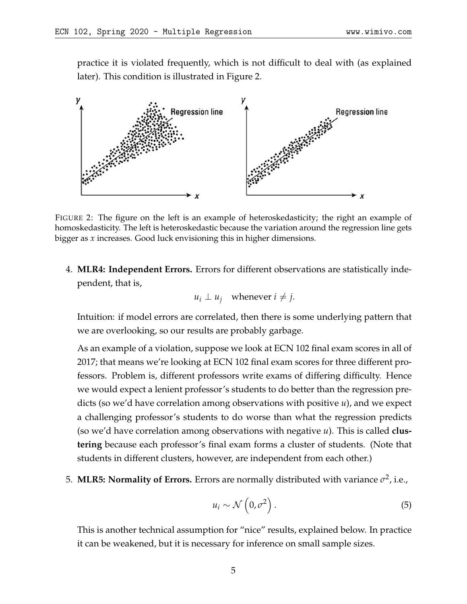practice it is violated frequently, which is not difficult to deal with (as explained later). This condition is illustrated in Figure [2.](#page-4-0)

<span id="page-4-0"></span>

FIGURE 2: The figure on the left is an example of heteroskedasticity; the right an example of homoskedasticity. The left is heteroskedastic because the variation around the regression line gets bigger as *x* increases. Good luck envisioning this in higher dimensions.

4. **MLR4: Independent Errors.** Errors for different observations are statistically independent, that is,

$$
u_i \perp u_j
$$
 whenever  $i \neq j$ .

Intuition: if model errors are correlated, then there is some underlying pattern that we are overlooking, so our results are probably garbage.

As an example of a violation, suppose we look at ECN 102 final exam scores in all of 2017; that means we're looking at ECN 102 final exam scores for three different professors. Problem is, different professors write exams of differing difficulty. Hence we would expect a lenient professor's students to do better than the regression predicts (so we'd have correlation among observations with positive *u*), and we expect a challenging professor's students to do worse than what the regression predicts (so we'd have correlation among observations with negative *u*). This is called **clustering** because each professor's final exam forms a cluster of students. (Note that students in different clusters, however, are independent from each other.)

5. **MLR5: Normality of Errors.** Errors are normally distributed with variance  $\sigma^2$ , i.e.,

$$
u_i \sim \mathcal{N}\left(0, \sigma^2\right). \tag{5}
$$

This is another technical assumption for "nice" results, explained below. In practice it can be weakened, but it is necessary for inference on small sample sizes.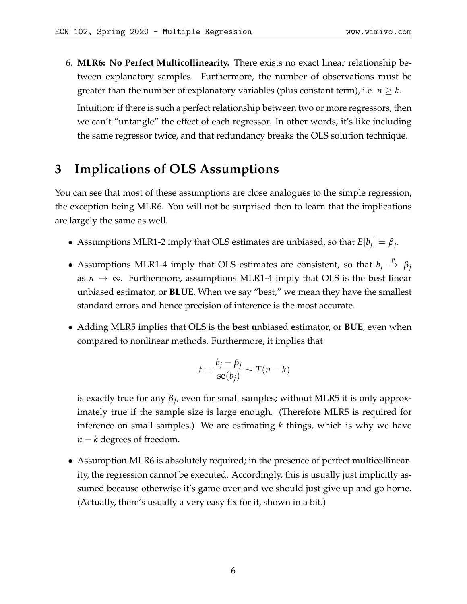6. **MLR6: No Perfect Multicollinearity.** There exists no exact linear relationship between explanatory samples. Furthermore, the number of observations must be greater than the number of explanatory variables (plus constant term), i.e.  $n \geq k$ .

Intuition: if there is such a perfect relationship between two or more regressors, then we can't "untangle" the effect of each regressor. In other words, it's like including the same regressor twice, and that redundancy breaks the OLS solution technique.

# **3 Implications of OLS Assumptions**

You can see that most of these assumptions are close analogues to the simple regression, the exception being MLR6. You will not be surprised then to learn that the implications are largely the same as well.

- Assumptions MLR1-2 imply that OLS estimates are unbiased, so that  $E[b_j] = \beta_j$ .
- Assumptions MLR1-4 imply that OLS estimates are consistent, so that  $b_j \stackrel{p}{\rightarrow} \beta_j$ as *n* → ∞. Furthermore, assumptions MLR1-4 imply that OLS is the **b**est **l**inear **u**nbiased **e**stimator, or **BLUE**. When we say "best," we mean they have the smallest standard errors and hence precision of inference is the most accurate.
- Adding MLR5 implies that OLS is the **b**est **u**nbiased **e**stimator, or **BUE**, even when compared to nonlinear methods. Furthermore, it implies that

$$
t \equiv \frac{b_j - \beta_j}{\text{se}(b_j)} \sim T(n - k)
$$

is exactly true for any *β<sup>j</sup>* , even for small samples; without MLR5 it is only approximately true if the sample size is large enough. (Therefore MLR5 is required for inference on small samples.) We are estimating *k* things, which is why we have *n* − *k* degrees of freedom.

• Assumption MLR6 is absolutely required; in the presence of perfect multicollinearity, the regression cannot be executed. Accordingly, this is usually just implicitly assumed because otherwise it's game over and we should just give up and go home. (Actually, there's usually a very easy fix for it, shown in a bit.)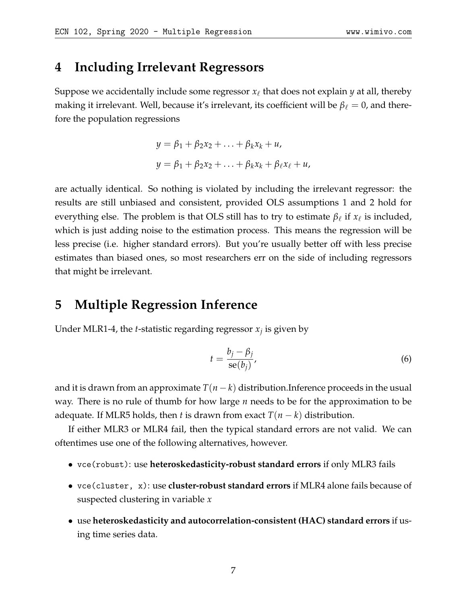### **4 Including Irrelevant Regressors**

Suppose we accidentally include some regressor  $x_\ell$  that does not explain  $y$  at all, thereby making it irrelevant. Well, because it's irrelevant, its coefficient will be  $\beta_\ell = 0$ , and therefore the population regressions

$$
y = \beta_1 + \beta_2 x_2 + \ldots + \beta_k x_k + u,
$$
  

$$
y = \beta_1 + \beta_2 x_2 + \ldots + \beta_k x_k + \beta_\ell x_\ell + u,
$$

are actually identical. So nothing is violated by including the irrelevant regressor: the results are still unbiased and consistent, provided OLS assumptions 1 and 2 hold for everything else. The problem is that OLS still has to try to estimate  $\beta_\ell$  if  $x_\ell$  is included, which is just adding noise to the estimation process. This means the regression will be less precise (i.e. higher standard errors). But you're usually better off with less precise estimates than biased ones, so most researchers err on the side of including regressors that might be irrelevant.

# **5 Multiple Regression Inference**

Under MLR1-4, the *t*-statistic regarding regressor *x<sup>j</sup>* is given by

$$
t = \frac{b_j - \beta_j}{\text{se}(b_j)},\tag{6}
$$

and it is drawn from an approximate  $T(n-k)$  distribution.Inference proceeds in the usual way. There is no rule of thumb for how large *n* needs to be for the approximation to be adequate. If MLR5 holds, then *t* is drawn from exact  $T(n - k)$  distribution.

If either MLR3 or MLR4 fail, then the typical standard errors are not valid. We can oftentimes use one of the following alternatives, however.

- vce(robust): use **heteroskedasticity-robust standard errors** if only MLR3 fails
- vce(cluster, x): use **cluster-robust standard errors** if MLR4 alone fails because of suspected clustering in variable *x*
- use **heteroskedasticity and autocorrelation-consistent (HAC) standard errors** if using time series data.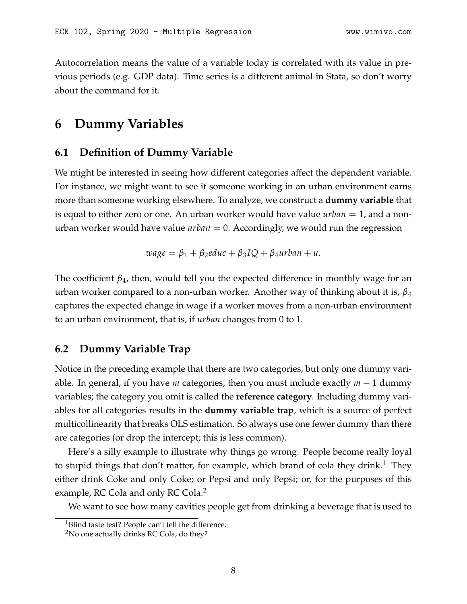Autocorrelation means the value of a variable today is correlated with its value in previous periods (e.g. GDP data). Time series is a different animal in Stata, so don't worry about the command for it.

# **6 Dummy Variables**

#### **6.1 Definition of Dummy Variable**

We might be interested in seeing how different categories affect the dependent variable. For instance, we might want to see if someone working in an urban environment earns more than someone working elsewhere. To analyze, we construct a **dummy variable** that is equal to either zero or one. An urban worker would have value *urban* = 1, and a nonurban worker would have value *urban* = 0. Accordingly, we would run the regression

$$
wage = \beta_1 + \beta_2 educ + \beta_3 IQ + \beta_4 urban + u.
$$

The coefficient  $\beta_4$ , then, would tell you the expected difference in monthly wage for an urban worker compared to a non-urban worker. Another way of thinking about it is, *β*<sup>4</sup> captures the expected change in wage if a worker moves from a non-urban environment to an urban environment, that is, if *urban* changes from 0 to 1.

### **6.2 Dummy Variable Trap**

Notice in the preceding example that there are two categories, but only one dummy variable. In general, if you have *m* categories, then you must include exactly *m* − 1 dummy variables; the category you omit is called the **reference category**. Including dummy variables for all categories results in the **dummy variable trap**, which is a source of perfect multicollinearity that breaks OLS estimation. So always use one fewer dummy than there are categories (or drop the intercept; this is less common).

Here's a silly example to illustrate why things go wrong. People become really loyal to stupid things that don't matter, for example, which brand of cola they drink.<sup>[1](#page-7-0)</sup> They either drink Coke and only Coke; or Pepsi and only Pepsi; or, for the purposes of this example, RC Cola and only RC Cola.<sup>[2](#page-7-1)</sup>

We want to see how many cavities people get from drinking a beverage that is used to

<span id="page-7-0"></span><sup>&</sup>lt;sup>1</sup>Blind taste test? People can't tell the difference.

<span id="page-7-1"></span> $2$ No one actually drinks RC Cola, do they?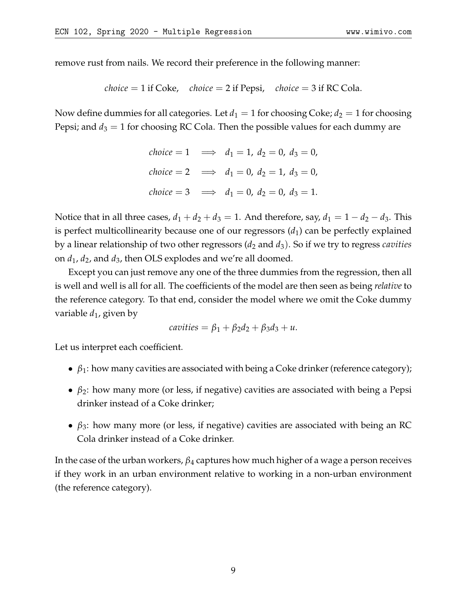remove rust from nails. We record their preference in the following manner:

*choice* = 1 if 
$$
Coke
$$
, *choice* = 2 if  $Pepsi$ , *choice* = 3 if  $RC$   $Cola$ .

Now define dummies for all categories. Let  $d_1 = 1$  for choosing Coke;  $d_2 = 1$  for choosing Pepsi; and  $d_3 = 1$  for choosing RC Cola. Then the possible values for each dummy are

$$
choice = 1 \implies d_1 = 1, d_2 = 0, d_3 = 0,
$$
  
\n
$$
choice = 2 \implies d_1 = 0, d_2 = 1, d_3 = 0,
$$
  
\n
$$
choice = 3 \implies d_1 = 0, d_2 = 0, d_3 = 1.
$$

Notice that in all three cases,  $d_1 + d_2 + d_3 = 1$ . And therefore, say,  $d_1 = 1 - d_2 - d_3$ . This is perfect multicollinearity because one of our regressors  $(d_1)$  can be perfectly explained by a linear relationship of two other regressors (*d*<sup>2</sup> and *d*3). So if we try to regress *cavities* on *d*1, *d*2, and *d*3, then OLS explodes and we're all doomed.

Except you can just remove any one of the three dummies from the regression, then all is well and well is all for all. The coefficients of the model are then seen as being *relative* to the reference category. To that end, consider the model where we omit the Coke dummy variable  $d_1$ , given by

$$
cavities = \beta_1 + \beta_2 d_2 + \beta_3 d_3 + u.
$$

Let us interpret each coefficient.

- $\beta_1$ : how many cavities are associated with being a Coke drinker (reference category);
- $\beta_2$ : how many more (or less, if negative) cavities are associated with being a Pepsi drinker instead of a Coke drinker;
- $\beta_3$ : how many more (or less, if negative) cavities are associated with being an RC Cola drinker instead of a Coke drinker.

In the case of the urban workers, *β*<sup>4</sup> captures how much higher of a wage a person receives if they work in an urban environment relative to working in a non-urban environment (the reference category).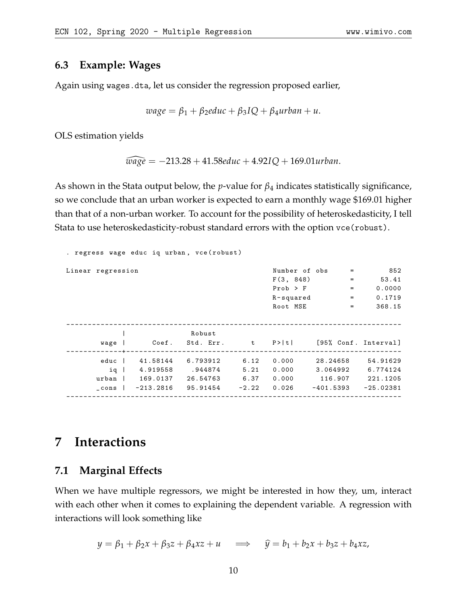### **6.3 Example: Wages**

Again using wages.dta, let us consider the regression proposed earlier,

$$
wage = \beta_1 + \beta_2 educ + \beta_3 IQ + \beta_4 urban + u.
$$

OLS estimation yields

$$
\widehat{wage} = -213.28 + 41.58 \text{e} \text{d} \text{u} \text{c} + 4.92 \text{I} \text{Q} + 169.01 \text{u} \text{r} \text{b} \text{a} \text{n}.
$$

As shown in the Stata output below, the *p*-value for *β*<sup>4</sup> indicates statistically significance, so we conclude that an urban worker is expected to earn a monthly wage \$169.01 higher than that of a non-urban worker. To account for the possibility of heteroskedasticity, I tell Stata to use heteroskedasticity-robust standard errors with the option vce(robust).

| . regress wage educ iq urban, vce (robust) |  |             |                                              |         |               |           |          |                   |  |  |  |  |
|--------------------------------------------|--|-------------|----------------------------------------------|---------|---------------|-----------|----------|-------------------|--|--|--|--|
| Linear regression                          |  |             |                                              |         | Number of obs |           | $=$      | 852               |  |  |  |  |
|                                            |  |             |                                              |         | F(3, 848)     |           | $\equiv$ | 53.41             |  |  |  |  |
|                                            |  |             |                                              |         | $Prob$ > $F$  |           | $=$      | 0.0000            |  |  |  |  |
|                                            |  |             |                                              |         | $R$ -squared  |           | $=$      | 0.1719            |  |  |  |  |
|                                            |  |             |                                              |         | Root MSE      |           | $=$      | 368.15            |  |  |  |  |
|                                            |  |             |                                              |         |               |           |          |                   |  |  |  |  |
|                                            |  |             |                                              |         |               |           |          |                   |  |  |  |  |
|                                            |  |             | Robust                                       |         |               |           |          |                   |  |  |  |  |
| wage                                       |  |             | Coef. Std. Err. t P> t  [95% Conf. Interval] |         |               |           |          |                   |  |  |  |  |
|                                            |  |             |                                              |         |               |           |          |                   |  |  |  |  |
| educ                                       |  | 41.58144    | 6.793912                                     | 6.12    | 0.000         |           | 28.24658 | 54.91629          |  |  |  |  |
| ig                                         |  |             | 4.919558 .944874                             | 5.21    | 0.000         |           |          | 3.064992 6.774124 |  |  |  |  |
| urban 1                                    |  |             | 169.0137 26.54763                            | 6.37    | 0.000         |           | 116.907  | 221.1205          |  |  |  |  |
| _cons                                      |  | $-213.2816$ | 95.91454                                     | $-2.22$ | 0.026         | -401.5393 |          | $-25.02381$       |  |  |  |  |
|                                            |  |             |                                              |         |               |           |          |                   |  |  |  |  |

# **7 Interactions**

### **7.1 Marginal Effects**

When we have multiple regressors, we might be interested in how they, um, interact with each other when it comes to explaining the dependent variable. A regression with interactions will look something like

$$
y = \beta_1 + \beta_2 x + \beta_3 z + \beta_4 x z + u \implies \hat{y} = b_1 + b_2 x + b_3 z + b_4 x z,
$$